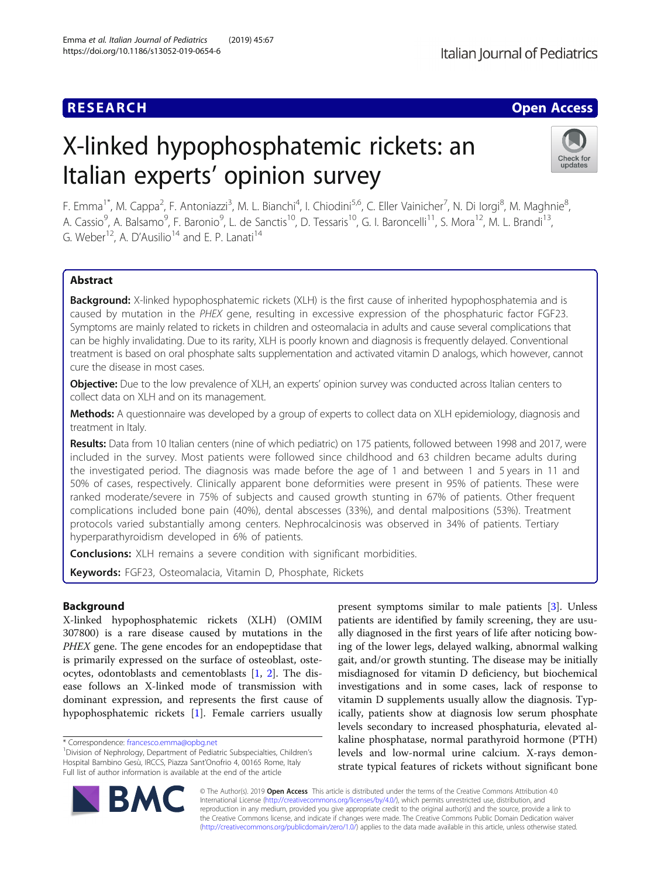## **RESEARCH CHE Open Access**

# X-linked hypophosphatemic rickets: an Italian experts' opinion survey



F. Emma<sup>1\*</sup>, M. Cappa<sup>2</sup>, F. Antoniazzi<sup>3</sup>, M. L. Bianchi<sup>4</sup>, I. Chiodini<sup>5,6</sup>, C. Eller Vainicher<sup>7</sup>, N. Di Iorgi<sup>8</sup>, M. Maghnie<sup>8</sup> , A. Cassio<sup>9</sup>, A. Balsamo<sup>9</sup>, F. Baronio<sup>9</sup>, L. de Sanctis<sup>10</sup>, D. Tessaris<sup>10</sup>, G. I. Baroncelli<sup>11</sup>, S. Mora<sup>12</sup>, M. L. Brandi<sup>13</sup>, G. Weber<sup>12</sup>, A. D'Ausilio<sup>14</sup> and E. P. Lanati<sup>14</sup>

## Abstract

**Background:** X-linked hypophosphatemic rickets (XLH) is the first cause of inherited hypophosphatemia and is caused by mutation in the PHEX gene, resulting in excessive expression of the phosphaturic factor FGF23. Symptoms are mainly related to rickets in children and osteomalacia in adults and cause several complications that can be highly invalidating. Due to its rarity, XLH is poorly known and diagnosis is frequently delayed. Conventional treatment is based on oral phosphate salts supplementation and activated vitamin D analogs, which however, cannot cure the disease in most cases.

Objective: Due to the low prevalence of XLH, an experts' opinion survey was conducted across Italian centers to collect data on XLH and on its management.

Methods: A questionnaire was developed by a group of experts to collect data on XLH epidemiology, diagnosis and treatment in Italy.

Results: Data from 10 Italian centers (nine of which pediatric) on 175 patients, followed between 1998 and 2017, were included in the survey. Most patients were followed since childhood and 63 children became adults during the investigated period. The diagnosis was made before the age of 1 and between 1 and 5 years in 11 and 50% of cases, respectively. Clinically apparent bone deformities were present in 95% of patients. These were ranked moderate/severe in 75% of subjects and caused growth stunting in 67% of patients. Other frequent complications included bone pain (40%), dental abscesses (33%), and dental malpositions (53%). Treatment protocols varied substantially among centers. Nephrocalcinosis was observed in 34% of patients. Tertiary hyperparathyroidism developed in 6% of patients.

**Conclusions:** XLH remains a severe condition with significant morbidities.

Keywords: FGF23, Osteomalacia, Vitamin D, Phosphate, Rickets

## Background

X-linked hypophosphatemic rickets (XLH) (OMIM 307800) is a rare disease caused by mutations in the PHEX gene. The gene encodes for an endopeptidase that is primarily expressed on the surface of osteoblast, osteocytes, odontoblasts and cementoblasts [\[1](#page-5-0), [2](#page-5-0)]. The disease follows an X-linked mode of transmission with dominant expression, and represents the first cause of hypophosphatemic rickets [\[1](#page-5-0)]. Female carriers usually

present symptoms similar to male patients [\[3](#page-5-0)]. Unless patients are identified by family screening, they are usually diagnosed in the first years of life after noticing bowing of the lower legs, delayed walking, abnormal walking gait, and/or growth stunting. The disease may be initially misdiagnosed for vitamin D deficiency, but biochemical investigations and in some cases, lack of response to vitamin D supplements usually allow the diagnosis. Typically, patients show at diagnosis low serum phosphate levels secondary to increased phosphaturia, elevated alkaline phosphatase, normal parathyroid hormone (PTH) levels and low-normal urine calcium. X-rays demonstrate typical features of rickets without significant bone



© The Author(s). 2019 Open Access This article is distributed under the terms of the Creative Commons Attribution 4.0 International License [\(http://creativecommons.org/licenses/by/4.0/](http://creativecommons.org/licenses/by/4.0/)), which permits unrestricted use, distribution, and reproduction in any medium, provided you give appropriate credit to the original author(s) and the source, provide a link to the Creative Commons license, and indicate if changes were made. The Creative Commons Public Domain Dedication waiver [\(http://creativecommons.org/publicdomain/zero/1.0/](http://creativecommons.org/publicdomain/zero/1.0/)) applies to the data made available in this article, unless otherwise stated.

<sup>\*</sup> Correspondence: [francesco.emma@opbg.net](mailto:francesco.emma@opbg.net) <sup>1</sup>

<sup>&</sup>lt;sup>1</sup> Division of Nephrology, Department of Pediatric Subspecialties, Children's Hospital Bambino Gesù, IRCCS, Piazza Sant'Onofrio 4, 00165 Rome, Italy Full list of author information is available at the end of the article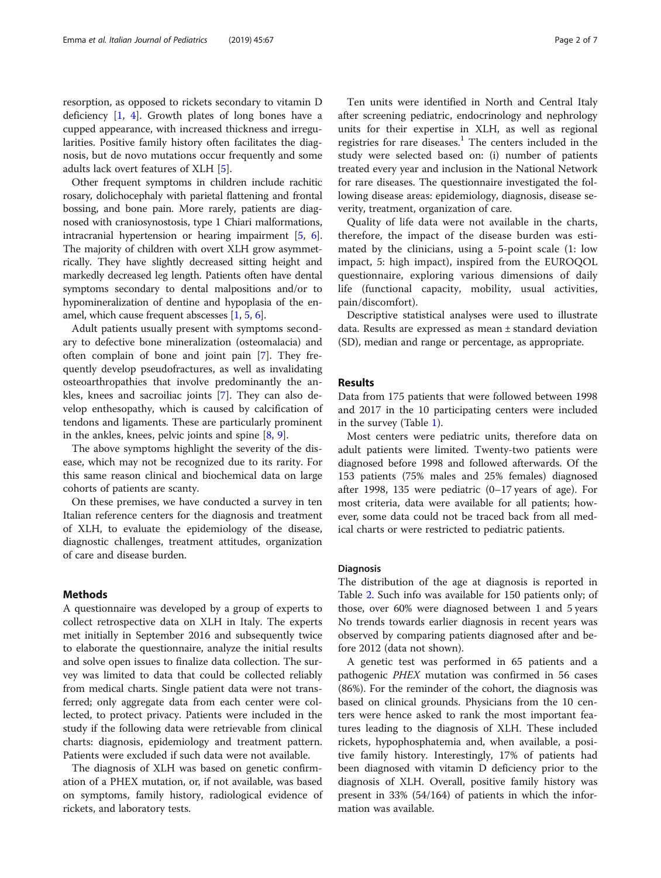resorption, as opposed to rickets secondary to vitamin D deficiency  $[1, 4]$  $[1, 4]$  $[1, 4]$  $[1, 4]$ . Growth plates of long bones have a cupped appearance, with increased thickness and irregularities. Positive family history often facilitates the diagnosis, but de novo mutations occur frequently and some adults lack overt features of XLH [[5\]](#page-5-0).

Other frequent symptoms in children include rachitic rosary, dolichocephaly with parietal flattening and frontal bossing, and bone pain. More rarely, patients are diagnosed with craniosynostosis, type 1 Chiari malformations, intracranial hypertension or hearing impairment [\[5](#page-5-0), [6](#page-5-0)]. The majority of children with overt XLH grow asymmetrically. They have slightly decreased sitting height and markedly decreased leg length. Patients often have dental symptoms secondary to dental malpositions and/or to hypomineralization of dentine and hypoplasia of the enamel, which cause frequent abscesses [[1,](#page-5-0) [5](#page-5-0), [6\]](#page-5-0).

Adult patients usually present with symptoms secondary to defective bone mineralization (osteomalacia) and often complain of bone and joint pain [[7\]](#page-5-0). They frequently develop pseudofractures, as well as invalidating osteoarthropathies that involve predominantly the ankles, knees and sacroiliac joints [[7\]](#page-5-0). They can also develop enthesopathy, which is caused by calcification of tendons and ligaments. These are particularly prominent in the ankles, knees, pelvic joints and spine [[8,](#page-5-0) [9\]](#page-5-0).

The above symptoms highlight the severity of the disease, which may not be recognized due to its rarity. For this same reason clinical and biochemical data on large cohorts of patients are scanty.

On these premises, we have conducted a survey in ten Italian reference centers for the diagnosis and treatment of XLH, to evaluate the epidemiology of the disease, diagnostic challenges, treatment attitudes, organization of care and disease burden.

#### Methods

A questionnaire was developed by a group of experts to collect retrospective data on XLH in Italy. The experts met initially in September 2016 and subsequently twice to elaborate the questionnaire, analyze the initial results and solve open issues to finalize data collection. The survey was limited to data that could be collected reliably from medical charts. Single patient data were not transferred; only aggregate data from each center were collected, to protect privacy. Patients were included in the study if the following data were retrievable from clinical charts: diagnosis, epidemiology and treatment pattern. Patients were excluded if such data were not available.

The diagnosis of XLH was based on genetic confirmation of a PHEX mutation, or, if not available, was based on symptoms, family history, radiological evidence of rickets, and laboratory tests.

Ten units were identified in North and Central Italy after screening pediatric, endocrinology and nephrology units for their expertise in XLH, as well as regional registries for rare diseases. $<sup>1</sup>$  The centers included in the</sup> study were selected based on: (i) number of patients treated every year and inclusion in the National Network for rare diseases. The questionnaire investigated the following disease areas: epidemiology, diagnosis, disease severity, treatment, organization of care.

Quality of life data were not available in the charts, therefore, the impact of the disease burden was estimated by the clinicians, using a 5-point scale (1: low impact, 5: high impact), inspired from the EUROQOL questionnaire, exploring various dimensions of daily life (functional capacity, mobility, usual activities, pain/discomfort).

Descriptive statistical analyses were used to illustrate data. Results are expressed as mean ± standard deviation (SD), median and range or percentage, as appropriate.

#### Results

Data from 175 patients that were followed between 1998 and 2017 in the 10 participating centers were included in the survey (Table [1](#page-2-0)).

Most centers were pediatric units, therefore data on adult patients were limited. Twenty-two patients were diagnosed before 1998 and followed afterwards. Of the 153 patients (75% males and 25% females) diagnosed after 1998, 135 were pediatric (0–17 years of age). For most criteria, data were available for all patients; however, some data could not be traced back from all medical charts or were restricted to pediatric patients.

### Diagnosis

The distribution of the age at diagnosis is reported in Table [2.](#page-2-0) Such info was available for 150 patients only; of those, over 60% were diagnosed between 1 and 5 years No trends towards earlier diagnosis in recent years was observed by comparing patients diagnosed after and before 2012 (data not shown).

A genetic test was performed in 65 patients and a pathogenic PHEX mutation was confirmed in 56 cases (86%). For the reminder of the cohort, the diagnosis was based on clinical grounds. Physicians from the 10 centers were hence asked to rank the most important features leading to the diagnosis of XLH. These included rickets, hypophosphatemia and, when available, a positive family history. Interestingly, 17% of patients had been diagnosed with vitamin D deficiency prior to the diagnosis of XLH. Overall, positive family history was present in 33% (54/164) of patients in which the information was available.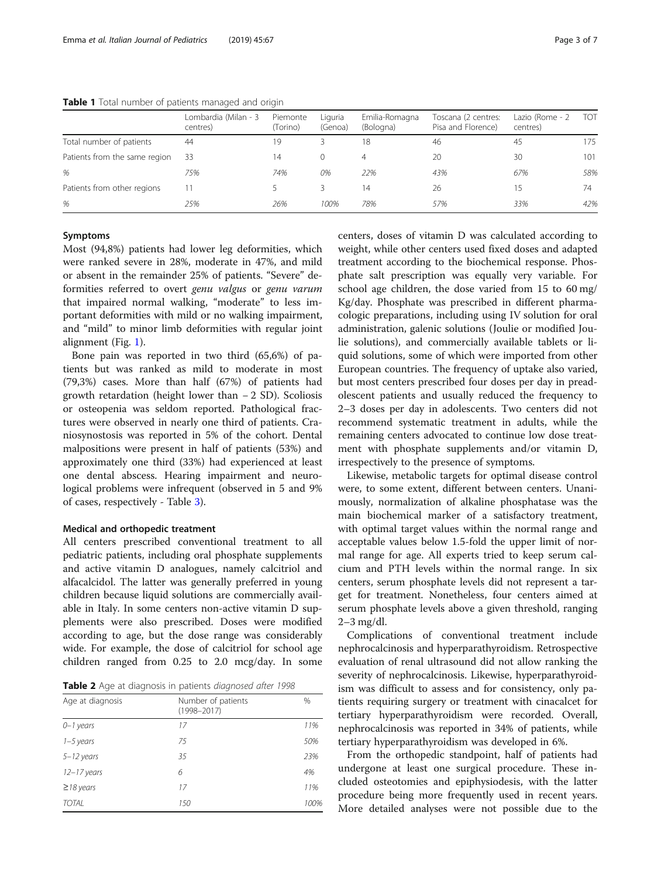<span id="page-2-0"></span>Table 1 Total number of patients managed and origin

|                               | Lombardia (Milan - 3<br>centres) | Piemonte<br>(Torino) | Liguria<br>(Genoa) | Emilia-Romagna<br>(Bologna) | Toscana (2 centres:<br>Pisa and Florence) | Lazio (Rome - 2<br>centres) | TOT |
|-------------------------------|----------------------------------|----------------------|--------------------|-----------------------------|-------------------------------------------|-----------------------------|-----|
| Total number of patients      | 44                               | 19                   |                    | 18                          | 46                                        | 45                          | 175 |
| Patients from the same region | 33                               | 14                   | $\Omega$           | 4                           | 20                                        | 30                          | 101 |
| %                             | 75%                              | 74%                  | 0%                 | 22%                         | 43%                                       | 67%                         | 58% |
| Patients from other regions   | 11                               |                      |                    | 14                          | 26                                        | 15                          | 74  |
| %                             | 25%                              | 26%                  | 100%               | 78%                         | 57%                                       | 33%                         | 42% |

#### Symptoms

Most (94,8%) patients had lower leg deformities, which were ranked severe in 28%, moderate in 47%, and mild or absent in the remainder 25% of patients. "Severe" deformities referred to overt genu valgus or genu varum that impaired normal walking, "moderate" to less important deformities with mild or no walking impairment, and "mild" to minor limb deformities with regular joint alignment (Fig. [1\)](#page-3-0).

Bone pain was reported in two third (65,6%) of patients but was ranked as mild to moderate in most (79,3%) cases. More than half (67%) of patients had growth retardation (height lower than − 2 SD). Scoliosis or osteopenia was seldom reported. Pathological fractures were observed in nearly one third of patients. Craniosynostosis was reported in 5% of the cohort. Dental malpositions were present in half of patients (53%) and approximately one third (33%) had experienced at least one dental abscess. Hearing impairment and neurological problems were infrequent (observed in 5 and 9% of cases, respectively - Table [3](#page-3-0)).

#### Medical and orthopedic treatment

All centers prescribed conventional treatment to all pediatric patients, including oral phosphate supplements and active vitamin D analogues, namely calcitriol and alfacalcidol. The latter was generally preferred in young children because liquid solutions are commercially available in Italy. In some centers non-active vitamin D supplements were also prescribed. Doses were modified according to age, but the dose range was considerably wide. For example, the dose of calcitriol for school age children ranged from 0.25 to 2.0 mcg/day. In some

Table 2 Age at diagnosis in patients diagnosed after 1998

| Age at diagnosis | Number of patients<br>$(1998 - 2017)$ |      |  |
|------------------|---------------------------------------|------|--|
| $0 - 1$ years    | 17                                    | 11%  |  |
| $1 - 5$ years    | 75                                    | 50%  |  |
| $5 - 12$ years   | 35                                    | 23%  |  |
| $12 - 17$ years  | 6                                     | 4%   |  |
| $\geq$ 18 years  | 17                                    | 11%  |  |
| <b>TOTAL</b>     | 150                                   | 100% |  |

centers, doses of vitamin D was calculated according to weight, while other centers used fixed doses and adapted treatment according to the biochemical response. Phosphate salt prescription was equally very variable. For school age children, the dose varied from 15 to 60 mg/ Kg/day. Phosphate was prescribed in different pharmacologic preparations, including using IV solution for oral administration, galenic solutions (Joulie or modified Joulie solutions), and commercially available tablets or liquid solutions, some of which were imported from other European countries. The frequency of uptake also varied, but most centers prescribed four doses per day in preadolescent patients and usually reduced the frequency to 2–3 doses per day in adolescents. Two centers did not recommend systematic treatment in adults, while the remaining centers advocated to continue low dose treatment with phosphate supplements and/or vitamin D, irrespectively to the presence of symptoms.

Likewise, metabolic targets for optimal disease control were, to some extent, different between centers. Unanimously, normalization of alkaline phosphatase was the main biochemical marker of a satisfactory treatment, with optimal target values within the normal range and acceptable values below 1.5-fold the upper limit of normal range for age. All experts tried to keep serum calcium and PTH levels within the normal range. In six centers, serum phosphate levels did not represent a target for treatment. Nonetheless, four centers aimed at serum phosphate levels above a given threshold, ranging 2–3 mg/dl.

Complications of conventional treatment include nephrocalcinosis and hyperparathyroidism. Retrospective evaluation of renal ultrasound did not allow ranking the severity of nephrocalcinosis. Likewise, hyperparathyroidism was difficult to assess and for consistency, only patients requiring surgery or treatment with cinacalcet for tertiary hyperparathyroidism were recorded. Overall, nephrocalcinosis was reported in 34% of patients, while tertiary hyperparathyroidism was developed in 6%.

From the orthopedic standpoint, half of patients had undergone at least one surgical procedure. These included osteotomies and epiphysiodesis, with the latter procedure being more frequently used in recent years. More detailed analyses were not possible due to the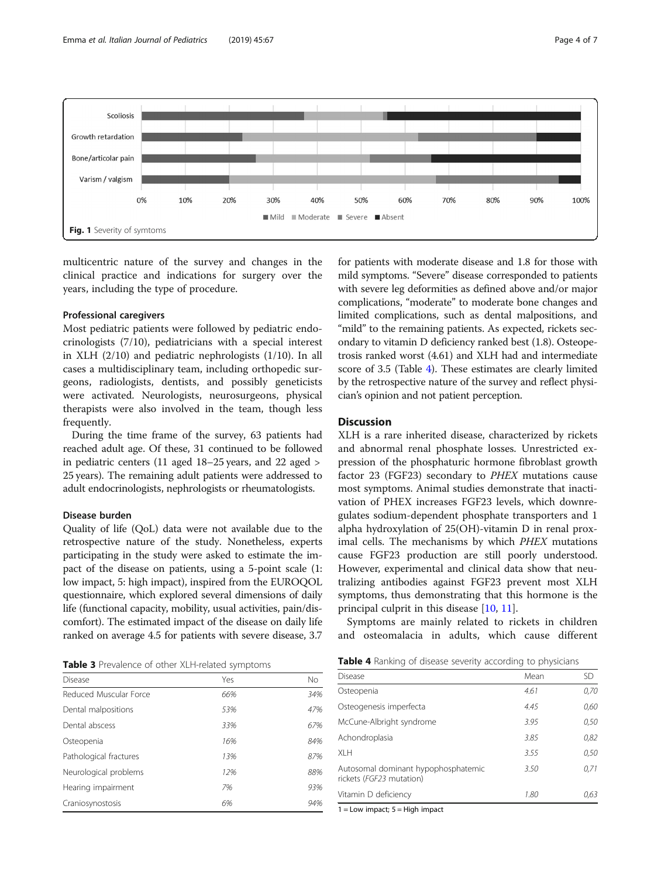<span id="page-3-0"></span>

multicentric nature of the survey and changes in the clinical practice and indications for surgery over the years, including the type of procedure.

#### Professional caregivers

Most pediatric patients were followed by pediatric endocrinologists (7/10), pediatricians with a special interest in XLH (2/10) and pediatric nephrologists (1/10). In all cases a multidisciplinary team, including orthopedic surgeons, radiologists, dentists, and possibly geneticists were activated. Neurologists, neurosurgeons, physical therapists were also involved in the team, though less frequently.

During the time frame of the survey, 63 patients had reached adult age. Of these, 31 continued to be followed in pediatric centers (11 aged 18–25 years, and 22 aged > 25 years). The remaining adult patients were addressed to adult endocrinologists, nephrologists or rheumatologists.

#### Disease burden

Quality of life (QoL) data were not available due to the retrospective nature of the study. Nonetheless, experts participating in the study were asked to estimate the impact of the disease on patients, using a 5-point scale (1: low impact, 5: high impact), inspired from the EUROQOL questionnaire, which explored several dimensions of daily life (functional capacity, mobility, usual activities, pain/discomfort). The estimated impact of the disease on daily life ranked on average 4.5 for patients with severe disease, 3.7

|  |  |  | Table 3 Prevalence of other XLH-related symptoms |  |
|--|--|--|--------------------------------------------------|--|
|--|--|--|--------------------------------------------------|--|

| <b>EXISTE S</b> FIGNATURE OF SCHOL ALL FIGNATURE SYTTIP COLLIS<br><b>Disease</b> |     |  |  |  |  |
|----------------------------------------------------------------------------------|-----|--|--|--|--|
|                                                                                  | No  |  |  |  |  |
| 66%                                                                              | 34% |  |  |  |  |
| 53%                                                                              | 47% |  |  |  |  |
| 33%                                                                              | 67% |  |  |  |  |
| 16%                                                                              | 84% |  |  |  |  |
| 13%                                                                              | 87% |  |  |  |  |
| 12%                                                                              | 88% |  |  |  |  |
| 7%                                                                               | 93% |  |  |  |  |
| 6%                                                                               | 94% |  |  |  |  |
|                                                                                  | Yes |  |  |  |  |

for patients with moderate disease and 1.8 for those with mild symptoms. "Severe" disease corresponded to patients with severe leg deformities as defined above and/or major complications, "moderate" to moderate bone changes and limited complications, such as dental malpositions, and "mild" to the remaining patients. As expected, rickets secondary to vitamin D deficiency ranked best (1.8). Osteopetrosis ranked worst (4.61) and XLH had and intermediate score of 3.5 (Table 4). These estimates are clearly limited by the retrospective nature of the survey and reflect physician's opinion and not patient perception.

#### **Discussion**

XLH is a rare inherited disease, characterized by rickets and abnormal renal phosphate losses. Unrestricted expression of the phosphaturic hormone fibroblast growth factor 23 (FGF23) secondary to PHEX mutations cause most symptoms. Animal studies demonstrate that inactivation of PHEX increases FGF23 levels, which downregulates sodium-dependent phosphate transporters and 1 alpha hydroxylation of 25(OH)-vitamin D in renal proximal cells. The mechanisms by which PHEX mutations cause FGF23 production are still poorly understood. However, experimental and clinical data show that neutralizing antibodies against FGF23 prevent most XLH symptoms, thus demonstrating that this hormone is the principal culprit in this disease [[10,](#page-5-0) [11\]](#page-5-0).

Symptoms are mainly related to rickets in children and osteomalacia in adults, which cause different

| <b>Table 4</b> Ranking of disease severity according to physicians |  |  |
|--------------------------------------------------------------------|--|--|
|                                                                    |  |  |

| <b>Disease</b>                                                  | Mean | SD.  |  |  |
|-----------------------------------------------------------------|------|------|--|--|
| Osteopenia                                                      | 4.61 | 0,70 |  |  |
| Osteogenesis imperfecta                                         | 4.45 | 0,60 |  |  |
| McCune-Albright syndrome                                        | 3.95 | 0,50 |  |  |
| Achondroplasia                                                  | 3.85 | 0,82 |  |  |
| XI H                                                            | 3.55 | 0,50 |  |  |
| Autosomal dominant hypophosphatemic<br>rickets (FGF23 mutation) | 3.50 | 0,71 |  |  |
| Vitamin D deficiency                                            | 1.80 | 0,63 |  |  |
|                                                                 |      |      |  |  |

1 = Low impact; 5 = High impact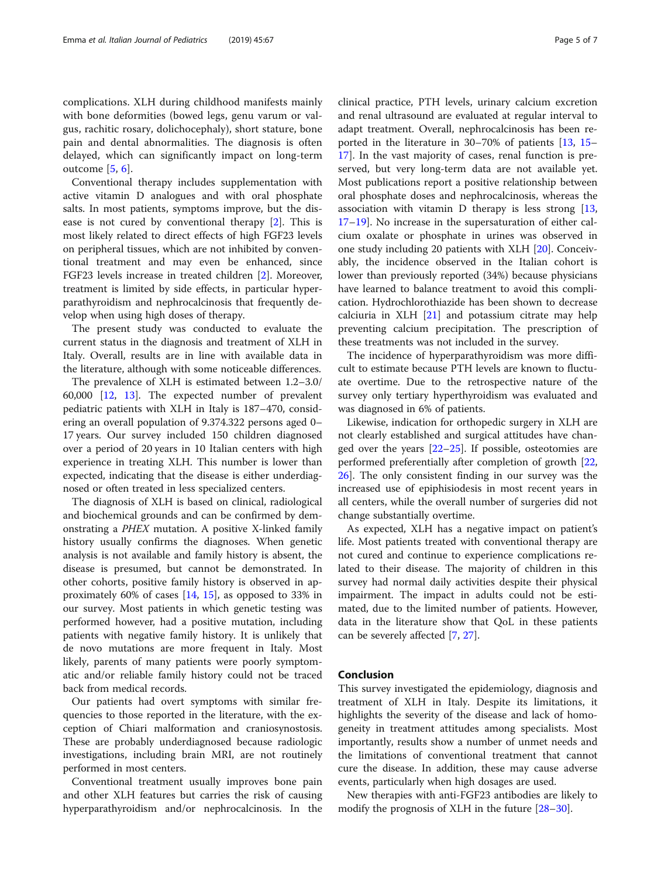complications. XLH during childhood manifests mainly with bone deformities (bowed legs, genu varum or valgus, rachitic rosary, dolichocephaly), short stature, bone pain and dental abnormalities. The diagnosis is often delayed, which can significantly impact on long-term outcome [\[5](#page-5-0), [6](#page-5-0)].

Conventional therapy includes supplementation with active vitamin D analogues and with oral phosphate salts. In most patients, symptoms improve, but the disease is not cured by conventional therapy [\[2](#page-5-0)]. This is most likely related to direct effects of high FGF23 levels on peripheral tissues, which are not inhibited by conventional treatment and may even be enhanced, since FGF23 levels increase in treated children [\[2](#page-5-0)]. Moreover, treatment is limited by side effects, in particular hyperparathyroidism and nephrocalcinosis that frequently develop when using high doses of therapy.

The present study was conducted to evaluate the current status in the diagnosis and treatment of XLH in Italy. Overall, results are in line with available data in the literature, although with some noticeable differences.

The prevalence of XLH is estimated between 1.2–3.0/ 60,000 [\[12](#page-5-0), [13\]](#page-5-0). The expected number of prevalent pediatric patients with XLH in Italy is 187–470, considering an overall population of 9.374.322 persons aged 0– 17 years. Our survey included 150 children diagnosed over a period of 20 years in 10 Italian centers with high experience in treating XLH. This number is lower than expected, indicating that the disease is either underdiagnosed or often treated in less specialized centers.

The diagnosis of XLH is based on clinical, radiological and biochemical grounds and can be confirmed by demonstrating a PHEX mutation. A positive X-linked family history usually confirms the diagnoses. When genetic analysis is not available and family history is absent, the disease is presumed, but cannot be demonstrated. In other cohorts, positive family history is observed in approximately 60% of cases [[14](#page-5-0), [15\]](#page-5-0), as opposed to 33% in our survey. Most patients in which genetic testing was performed however, had a positive mutation, including patients with negative family history. It is unlikely that de novo mutations are more frequent in Italy. Most likely, parents of many patients were poorly symptomatic and/or reliable family history could not be traced back from medical records.

Our patients had overt symptoms with similar frequencies to those reported in the literature, with the exception of Chiari malformation and craniosynostosis. These are probably underdiagnosed because radiologic investigations, including brain MRI, are not routinely performed in most centers.

Conventional treatment usually improves bone pain and other XLH features but carries the risk of causing hyperparathyroidism and/or nephrocalcinosis. In the clinical practice, PTH levels, urinary calcium excretion and renal ultrasound are evaluated at regular interval to adapt treatment. Overall, nephrocalcinosis has been reported in the literature in 30–70% of patients [[13,](#page-5-0) [15](#page-5-0)– [17\]](#page-6-0). In the vast majority of cases, renal function is preserved, but very long-term data are not available yet. Most publications report a positive relationship between oral phosphate doses and nephrocalcinosis, whereas the association with vitamin  $D$  therapy is less strong  $[13,$  $[13,$  $[13,$ [17](#page-6-0)–[19](#page-6-0)]. No increase in the supersaturation of either calcium oxalate or phosphate in urines was observed in one study including 20 patients with XLH [[20\]](#page-6-0). Conceivably, the incidence observed in the Italian cohort is lower than previously reported (34%) because physicians have learned to balance treatment to avoid this complication. Hydrochlorothiazide has been shown to decrease calciuria in XLH  $[21]$  $[21]$  and potassium citrate may help preventing calcium precipitation. The prescription of these treatments was not included in the survey.

The incidence of hyperparathyroidism was more difficult to estimate because PTH levels are known to fluctuate overtime. Due to the retrospective nature of the survey only tertiary hyperthyroidism was evaluated and was diagnosed in 6% of patients.

Likewise, indication for orthopedic surgery in XLH are not clearly established and surgical attitudes have changed over the years  $[22-25]$  $[22-25]$  $[22-25]$  $[22-25]$  $[22-25]$ . If possible, osteotomies are performed preferentially after completion of growth [[22](#page-6-0), [26\]](#page-6-0). The only consistent finding in our survey was the increased use of epiphisiodesis in most recent years in all centers, while the overall number of surgeries did not change substantially overtime.

As expected, XLH has a negative impact on patient's life. Most patients treated with conventional therapy are not cured and continue to experience complications related to their disease. The majority of children in this survey had normal daily activities despite their physical impairment. The impact in adults could not be estimated, due to the limited number of patients. However, data in the literature show that QoL in these patients can be severely affected [\[7](#page-5-0), [27](#page-6-0)].

#### Conclusion

This survey investigated the epidemiology, diagnosis and treatment of XLH in Italy. Despite its limitations, it highlights the severity of the disease and lack of homogeneity in treatment attitudes among specialists. Most importantly, results show a number of unmet needs and the limitations of conventional treatment that cannot cure the disease. In addition, these may cause adverse events, particularly when high dosages are used.

New therapies with anti-FGF23 antibodies are likely to modify the prognosis of XLH in the future [\[28](#page-6-0)–[30\]](#page-6-0).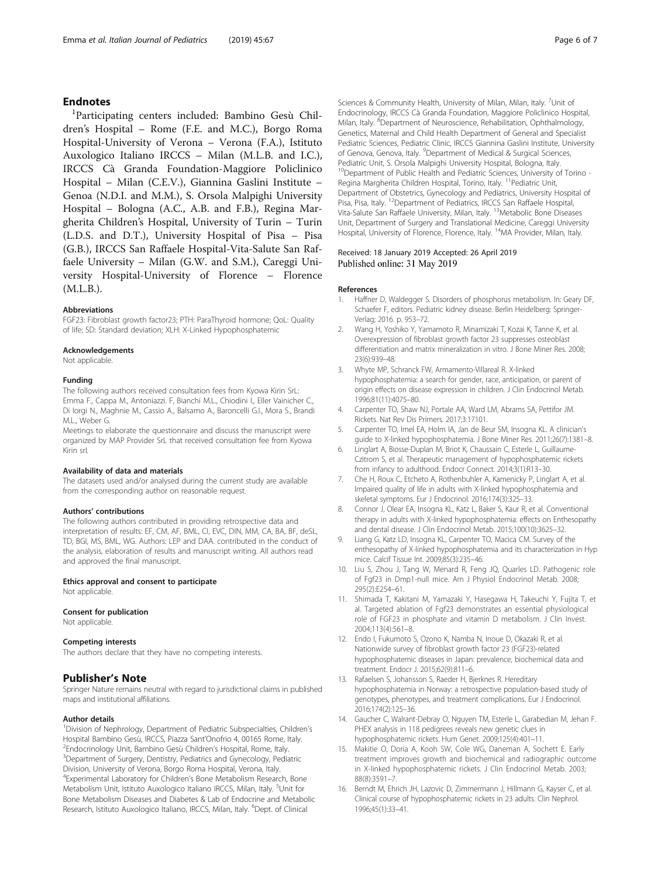#### <span id="page-5-0"></span>**Endnotes**

<sup>1</sup>Participating centers included: Bambino Gesù Children's Hospital – Rome (F.E. and M.C.), Borgo Roma Hospital-University of Verona – Verona (F.A.), Istituto Auxologico Italiano IRCCS – Milan (M.L.B. and I.C.), IRCCS Cà Granda Foundation-Maggiore Policlinico Hospital – Milan (C.E.V.), Giannina Gaslini Institute – Genoa (N.D.I. and M.M.), S. Orsola Malpighi University Hospital – Bologna (A.C., A.B. and F.B.), Regina Margherita Children's Hospital, University of Turin – Turin (L.D.S. and D.T.), University Hospital of Pisa – Pisa (G.B.), IRCCS San Raffaele Hospital-Vita-Salute San Raffaele University – Milan (G.W. and S.M.), Careggi University Hospital-University of Florence – Florence (M.L.B.).

#### Abbreviations

FGF23: Fibroblast growth factor23; PTH: ParaThyroid hormone; QoL: Quality of life; SD: Standard deviation; XLH: X-Linked Hypophosphatemic

#### Acknowledgements

Not applicable.

#### Funding

The following authors received consultation fees from Kyowa Kirin SrL: Emma F., Cappa M., Antoniazzi. F, Bianchi M.L., Chiodini I., Eller Vainicher C., Di Iorgi N., Maghnie M., Cassio A., Balsamo A., Baroncelli G.I., Mora S., Brandi M.L., Weber G.

Meetings to elaborate the questionnaire and discuss the manuscript were organized by MAP Provider SrL that received consultation fee from Kyowa Kirin srl.

#### Availability of data and materials

The datasets used and/or analysed during the current study are available from the corresponding author on reasonable request.

#### Authors' contributions

The following authors contributed in providing retrospective data and interpretation of results: EF, CM, AF, BML, CI, EVC, DIN, MM, CA, BA, BF, deSL, TD, BGI, MS, BML, WG. Authors: LEP and DAA. contributed in the conduct of the analysis, elaboration of results and manuscript writing. All authors read and approved the final manuscript.

#### Ethics approval and consent to participate

Not applicable.

#### Consent for publication

Not applicable.

#### Competing interests

The authors declare that they have no competing interests.

#### Publisher's Note

Springer Nature remains neutral with regard to jurisdictional claims in published maps and institutional affiliations.

#### Author details

<sup>1</sup> Division of Nephrology, Department of Pediatric Subspecialties, Children's Hospital Bambino Gesù, IRCCS, Piazza Sant'Onofrio 4, 00165 Rome, Italy. <sup>2</sup> <sup>2</sup>Endocrinology Unit, Bambino Gesù Children's Hospital, Rome, Italy. Department of Surgery, Dentistry, Pediatrics and Gynecology, Pediatric Division, University of Verona, Borgo Roma Hospital, Verona, Italy. 4 Experimental Laboratory for Children's Bone Metabolism Research, Bone Metabolism Unit, Istituto Auxologico Italiano IRCCS, Milan, Italy. <sup>5</sup>Unit for Bone Metabolism Diseases and Diabetes & Lab of Endocrine and Metabolic Research, Istituto Auxologico Italiano, IRCCS, Milan, Italy. <sup>6</sup>Dept. of Clinical

Sciences & Community Health, University of Milan, Milan, Italy. <sup>7</sup>Unit of Endocrinology, IRCCS Cà Granda Foundation, Maggiore Policlinico Hospital, Milan, Italy. <sup>8</sup>Department of Neuroscience, Rehabilitation, Ophthalmology, Genetics, Maternal and Child Health Department of General and Specialist Pediatric Sciences, Pediatric Clinic, IRCCS Giannina Gaslini Institute, University of Genova, Genova, Italy. <sup>9</sup>Department of Medical & Surgical Sciences Pediatric Unit, S. Orsola Malpighi University Hospital, Bologna, Italy. <sup>10</sup>Department of Public Health and Pediatric Sciences, University of Torino -Regina Margherita Children Hospital, Torino, Italy. <sup>11</sup> Pediatric Unit, Department of Obstetrics, Gynecology and Pediatrics, University Hospital of Pisa, Pisa, Italy. <sup>12</sup>Department of Pediatrics, IRCCS San Raffaele Hospital, Vita-Salute San Raffaele University, Milan, Italy. 13Metabolic Bone Diseases Unit, Department of Surgery and Translational Medicine, Careggi University Hospital, University of Florence, Florence, Italy. <sup>14</sup>MA Provider, Milan, Italy.

#### Received: 18 January 2019 Accepted: 26 April 2019 Published online: 31 May 2019

#### References

- 1. Haffner D, Waldegger S. Disorders of phosphorus metabolism. In: Geary DF, Schaefer F, editors. Pediatric kidney disease. Berlin Heidelberg: Springer-Verlag; 2016. p. 953–72.
- 2. Wang H, Yoshiko Y, Yamamoto R, Minamizaki T, Kozai K, Tanne K, et al. Overexpression of fibroblast growth factor 23 suppresses osteoblast differentiation and matrix mineralization in vitro. J Bone Miner Res. 2008; 23(6):939–48.
- 3. Whyte MP, Schranck FW, Armamento-Villareal R. X-linked hypophosphatemia: a search for gender, race, anticipation, or parent of origin effects on disease expression in children. J Clin Endocrinol Metab. 1996;81(11):4075–80.
- 4. Carpenter TO, Shaw NJ, Portale AA, Ward LM, Abrams SA, Pettifor JM. Rickets. Nat Rev Dis Primers. 2017;3:17101.
- 5. Carpenter TO, Imel EA, Holm IA, Jan de Beur SM, Insogna KL. A clinician's guide to X-linked hypophosphatemia. J Bone Miner Res. 2011;26(7):1381–8.
- Linglart A, Biosse-Duplan M, Briot K, Chaussain C, Esterle L, Guillaume-Czitrom S, et al. Therapeutic management of hypophosphatemic rickets from infancy to adulthood. Endocr Connect. 2014;3(1):R13–30.
- 7. Che H, Roux C, Etcheto A, Rothenbuhler A, Kamenicky P, Linglart A, et al. Impaired quality of life in adults with X-linked hypophosphatemia and skeletal symptoms. Eur J Endocrinol. 2016;174(3):325–33.
- Connor J, Olear EA, Insogna KL, Katz L, Baker S, Kaur R, et al. Conventional therapy in adults with X-linked hypophosphatemia: effects on Enthesopathy and dental disease. J Clin Endocrinol Metab. 2015;100(10):3625–32.
- 9. Liang G, Katz LD, Insogna KL, Carpenter TO, Macica CM. Survey of the enthesopathy of X-linked hypophosphatemia and its characterization in Hyp mice. Calcif Tissue Int. 2009;85(3):235–46.
- 10. Liu S, Zhou J, Tang W, Menard R, Feng JQ, Quarles LD. Pathogenic role of Fgf23 in Dmp1-null mice. Am J Physiol Endocrinol Metab. 2008; 295(2):E254–61.
- 11. Shimada T, Kakitani M, Yamazaki Y, Hasegawa H, Takeuchi Y, Fujita T, et al. Targeted ablation of Fgf23 demonstrates an essential physiological role of FGF23 in phosphate and vitamin D metabolism. J Clin Invest. 2004;113(4):561–8.
- 12. Endo I, Fukumoto S, Ozono K, Namba N, Inoue D, Okazaki R, et al. Nationwide survey of fibroblast growth factor 23 (FGF23)-related hypophosphatemic diseases in Japan: prevalence, biochemical data and treatment. Endocr J. 2015;62(9):811–6.
- 13. Rafaelsen S, Johansson S, Raeder H, Bjerknes R. Hereditary hypophosphatemia in Norway: a retrospective population-based study of genotypes, phenotypes, and treatment complications. Eur J Endocrinol. 2016;174(2):125–36.
- 14. Gaucher C, Walrant-Debray O, Nguyen TM, Esterle L, Garabedian M, Jehan F. PHEX analysis in 118 pedigrees reveals new genetic clues in hypophosphatemic rickets. Hum Genet. 2009;125(4):401–11.
- 15. Makitie O, Doria A, Kooh SW, Cole WG, Daneman A, Sochett E. Early treatment improves growth and biochemical and radiographic outcome in X-linked hypophosphatemic rickets. J Clin Endocrinol Metab. 2003; 88(8):3591–7.
- 16. Berndt M, Ehrich JH, Lazovic D, Zimmermann J, Hillmann G, Kayser C, et al. Clinical course of hypophosphatemic rickets in 23 adults. Clin Nephrol. 1996;45(1):33–41.